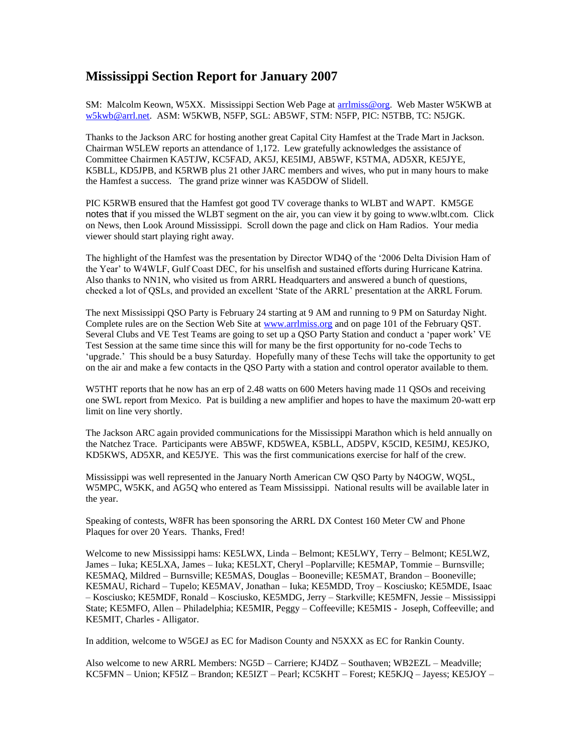## **Mississippi Section Report for January 2007**

SM: Malcolm Keown, W5XX. Mississippi Section Web Page at [arrlmiss@org.](mailto:arrlmiss@org) Web Master W5KWB at [w5kwb@arrl.net.](mailto:w5kwb@arrl.net) ASM: W5KWB, N5FP, SGL: AB5WF, STM: N5FP, PIC: N5TBB, TC: N5JGK.

Thanks to the Jackson ARC for hosting another great Capital City Hamfest at the Trade Mart in Jackson. Chairman W5LEW reports an attendance of 1,172. Lew gratefully acknowledges the assistance of Committee Chairmen KA5TJW, KC5FAD, AK5J, KE5IMJ, AB5WF, K5TMA, AD5XR, KE5JYE, K5BLL, KD5JPB, and K5RWB plus 21 other JARC members and wives, who put in many hours to make the Hamfest a success. The grand prize winner was KA5DOW of Slidell.

PIC K5RWB ensured that the Hamfest got good TV coverage thanks to WLBT and WAPT. KM5GE notes that if you missed the WLBT segment on the air, you can view it by going to www.wlbt.com. Click on News, then Look Around Mississippi. Scroll down the page and click on Ham Radios. Your media viewer should start playing right away.

The highlight of the Hamfest was the presentation by Director WD4Q of the '2006 Delta Division Ham of the Year' to W4WLF, Gulf Coast DEC, for his unselfish and sustained efforts during Hurricane Katrina. Also thanks to NN1N, who visited us from ARRL Headquarters and answered a bunch of questions, checked a lot of QSLs, and provided an excellent 'State of the ARRL' presentation at the ARRL Forum.

The next Mississippi QSO Party is February 24 starting at 9 AM and running to 9 PM on Saturday Night. Complete rules are on the Section Web Site at [www.arrlmiss.org](http://www.arrlmiss.org/) and on page 101 of the February QST. Several Clubs and VE Test Teams are going to set up a QSO Party Station and conduct a 'paper work' VE Test Session at the same time since this will for many be the first opportunity for no-code Techs to 'upgrade.' This should be a busy Saturday. Hopefully many of these Techs will take the opportunity to get on the air and make a few contacts in the QSO Party with a station and control operator available to them.

W5THT reports that he now has an erp of 2.48 watts on 600 Meters having made 11 OSOs and receiving one SWL report from Mexico. Pat is building a new amplifier and hopes to have the maximum 20-watt erp limit on line very shortly.

The Jackson ARC again provided communications for the Mississippi Marathon which is held annually on the Natchez Trace. Participants were AB5WF, KD5WEA, K5BLL, AD5PV, K5CID, KE5IMJ, KE5JKO, KD5KWS, AD5XR, and KE5JYE. This was the first communications exercise for half of the crew.

Mississippi was well represented in the January North American CW QSO Party by N4OGW, WQ5L, W5MPC, W5KK, and AG5Q who entered as Team Mississippi. National results will be available later in the year.

Speaking of contests, W8FR has been sponsoring the ARRL DX Contest 160 Meter CW and Phone Plaques for over 20 Years. Thanks, Fred!

Welcome to new Mississippi hams: KE5LWX, Linda – Belmont; KE5LWY, Terry – Belmont; KE5LWZ, James – Iuka; KE5LXA, James – Iuka; KE5LXT, Cheryl –Poplarville; KE5MAP, Tommie – Burnsville; KE5MAQ, Mildred – Burnsville; KE5MAS, Douglas – Booneville; KE5MAT, Brandon – Booneville; KE5MAU, Richard – Tupelo; KE5MAV, Jonathan – Iuka; KE5MDD, Troy – Kosciusko; KE5MDE, Isaac – Kosciusko; KE5MDF, Ronald – Kosciusko, KE5MDG, Jerry – Starkville; KE5MFN, Jessie – Mississippi State; KE5MFO, Allen – Philadelphia; KE5MIR, Peggy – Coffeeville; KE5MIS - Joseph, Coffeeville; and KE5MIT, Charles - Alligator.

In addition, welcome to W5GEJ as EC for Madison County and N5XXX as EC for Rankin County.

Also welcome to new ARRL Members: NG5D – Carriere; KJ4DZ – Southaven; WB2EZL – Meadville; KC5FMN – Union; KF5IZ – Brandon; KE5IZT – Pearl; KC5KHT – Forest; KE5KJQ – Jayess; KE5JOY –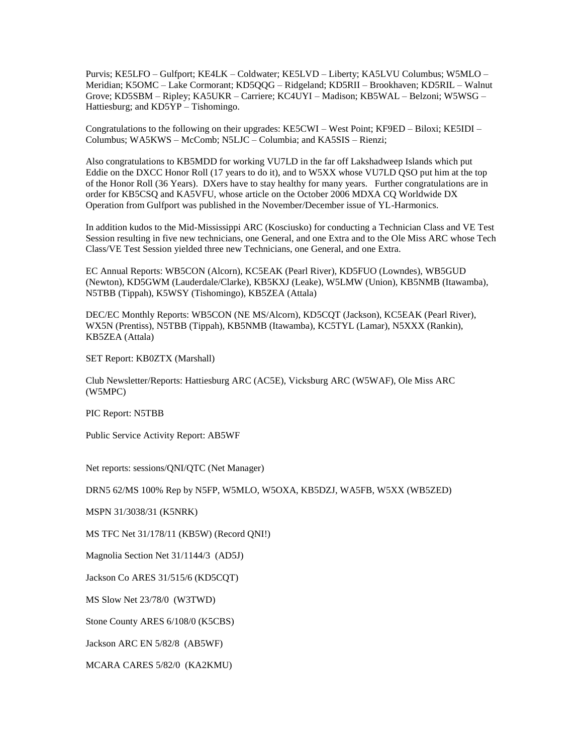Purvis; KE5LFO – Gulfport; KE4LK – Coldwater; KE5LVD – Liberty; KA5LVU Columbus; W5MLO – Meridian; K5OMC – Lake Cormorant; KD5QQG – Ridgeland; KD5RII – Brookhaven; KD5RIL – Walnut Grove; KD5SBM – Ripley; KA5UKR – Carriere; KC4UYI – Madison; KB5WAL – Belzoni; W5WSG – Hattiesburg; and KD5YP – Tishomingo.

Congratulations to the following on their upgrades: KE5CWI – West Point; KF9ED – Biloxi; KE5IDI – Columbus; WA5KWS – McComb; N5LJC – Columbia; and KA5SIS – Rienzi;

Also congratulations to KB5MDD for working VU7LD in the far off Lakshadweep Islands which put Eddie on the DXCC Honor Roll (17 years to do it), and to W5XX whose VU7LD QSO put him at the top of the Honor Roll (36 Years). DXers have to stay healthy for many years. Further congratulations are in order for KB5CSQ and KA5VFU, whose article on the October 2006 MDXA CQ Worldwide DX Operation from Gulfport was published in the November/December issue of YL-Harmonics.

In addition kudos to the Mid-Mississippi ARC (Kosciusko) for conducting a Technician Class and VE Test Session resulting in five new technicians, one General, and one Extra and to the Ole Miss ARC whose Tech Class/VE Test Session yielded three new Technicians, one General, and one Extra.

EC Annual Reports: WB5CON (Alcorn), KC5EAK (Pearl River), KD5FUO (Lowndes), WB5GUD (Newton), KD5GWM (Lauderdale/Clarke), KB5KXJ (Leake), W5LMW (Union), KB5NMB (Itawamba), N5TBB (Tippah), K5WSY (Tishomingo), KB5ZEA (Attala)

DEC/EC Monthly Reports: WB5CON (NE MS/Alcorn), KD5CQT (Jackson), KC5EAK (Pearl River), WX5N (Prentiss), N5TBB (Tippah), KB5NMB (Itawamba), KC5TYL (Lamar), N5XXX (Rankin), KB5ZEA (Attala)

SET Report: KB0ZTX (Marshall)

Club Newsletter/Reports: Hattiesburg ARC (AC5E), Vicksburg ARC (W5WAF), Ole Miss ARC (W5MPC)

PIC Report: N5TBB

Public Service Activity Report: AB5WF

Net reports: sessions/QNI/QTC (Net Manager)

DRN5 62/MS 100% Rep by N5FP, W5MLO, W5OXA, KB5DZJ, WA5FB, W5XX (WB5ZED)

MSPN 31/3038/31 (K5NRK)

MS TFC Net 31/178/11 (KB5W) (Record QNI!)

Magnolia Section Net 31/1144/3 (AD5J)

Jackson Co ARES 31/515/6 (KD5CQT)

MS Slow Net 23/78/0 (W3TWD)

Stone County ARES 6/108/0 (K5CBS)

Jackson ARC EN 5/82/8 (AB5WF)

MCARA CARES 5/82/0 (KA2KMU)